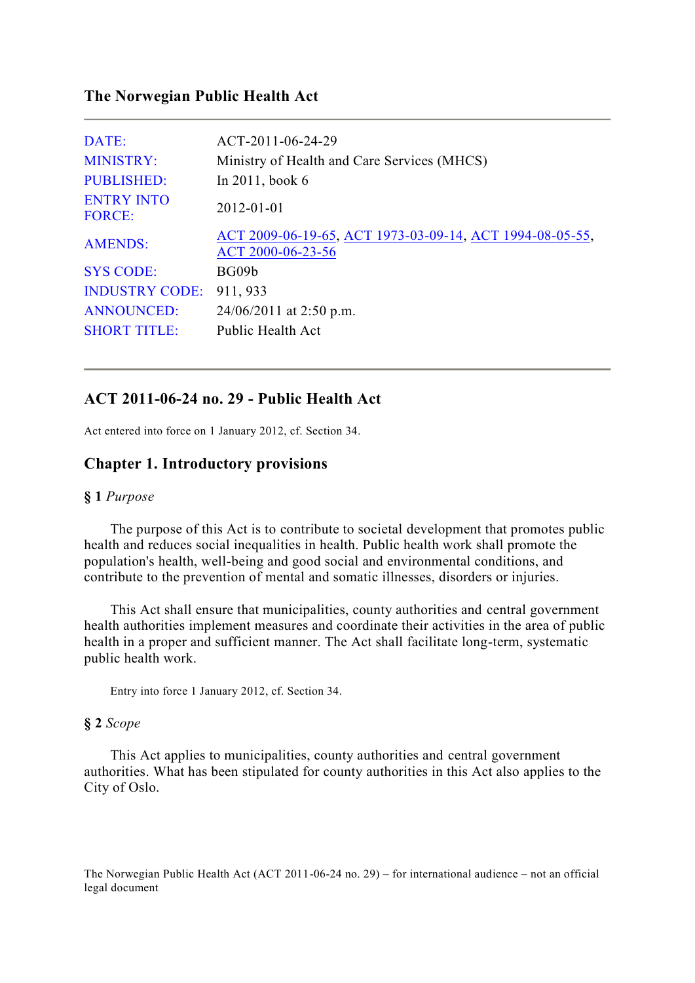# **The Norwegian Public Health Act**

| DATE:                              | ACT-2011-06-24-29                                                             |
|------------------------------------|-------------------------------------------------------------------------------|
| <b>MINISTRY:</b>                   | Ministry of Health and Care Services (MHCS)                                   |
| <b>PUBLISHED:</b>                  | In 2011, book 6                                                               |
| <b>ENTRY INTO</b><br><b>FORCE:</b> | 2012-01-01                                                                    |
| <b>AMENDS:</b>                     | ACT 2009-06-19-65, ACT 1973-03-09-14, ACT 1994-08-05-55,<br>ACT 2000-06-23-56 |
| <b>SYS CODE:</b>                   | BG09b                                                                         |
| <b>INDUSTRY CODE:</b>              | 911, 933                                                                      |
| <b>ANNOUNCED:</b>                  | $24/06/2011$ at 2:50 p.m.                                                     |
| <b>SHORT TITLE:</b>                | Public Health Act                                                             |

# **ACT 2011-06-24 no. 29 - Public Health Act**

Act entered into force on 1 January 2012, cf. Section 34.

# **Chapter 1. Introductory provisions**

### **§ 1** *Purpose*

 The purpose of this Act is to contribute to societal development that promotes public health and reduces social inequalities in health. Public health work shall promote the population's health, well-being and good social and environmental conditions, and contribute to the prevention of mental and somatic illnesses, disorders or injuries.

 This Act shall ensure that municipalities, county authorities and central government health authorities implement measures and coordinate their activities in the area of public health in a proper and sufficient manner. The Act shall facilitate long-term, systematic public health work.

Entry into force 1 January 2012, cf. Section 34.

# **§ 2** *Scope*

 This Act applies to municipalities, county authorities and central government authorities. What has been stipulated for county authorities in this Act also applies to the City of Oslo.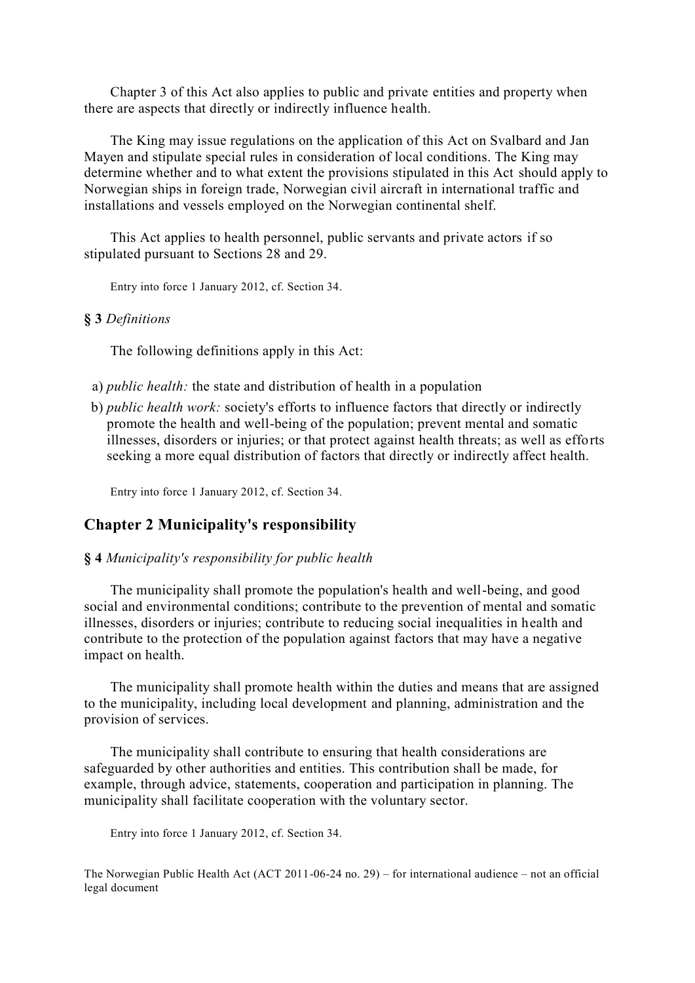Chapter 3 of this Act also applies to public and private entities and property when there are aspects that directly or indirectly influence health.

 The King may issue regulations on the application of this Act on Svalbard and Jan Mayen and stipulate special rules in consideration of local conditions. The King may determine whether and to what extent the provisions stipulated in this Act should apply to Norwegian ships in foreign trade, Norwegian civil aircraft in international traffic and installations and vessels employed on the Norwegian continental shelf.

 This Act applies to health personnel, public servants and private actors if so stipulated pursuant to Sections 28 and 29.

Entry into force 1 January 2012, cf. Section 34.

# **§ 3** *Definitions*

The following definitions apply in this Act:

- a) *public health:* the state and distribution of health in a population
- b) *public health work:* society's efforts to influence factors that directly or indirectly promote the health and well-being of the population; prevent mental and somatic illnesses, disorders or injuries; or that protect against health threats; as well as efforts seeking a more equal distribution of factors that directly or indirectly affect health.

Entry into force 1 January 2012, cf. Section 34.

# **Chapter 2 Municipality's responsibility**

# **§ 4** *Municipality's responsibility for public health*

 The municipality shall promote the population's health and well-being, and good social and environmental conditions; contribute to the prevention of mental and somatic illnesses, disorders or injuries; contribute to reducing social inequalities in health and contribute to the protection of the population against factors that may have a negative impact on health.

 The municipality shall promote health within the duties and means that are assigned to the municipality, including local development and planning, administration and the provision of services.

 The municipality shall contribute to ensuring that health considerations are safeguarded by other authorities and entities. This contribution shall be made, for example, through advice, statements, cooperation and participation in planning. The municipality shall facilitate cooperation with the voluntary sector.

Entry into force 1 January 2012, cf. Section 34.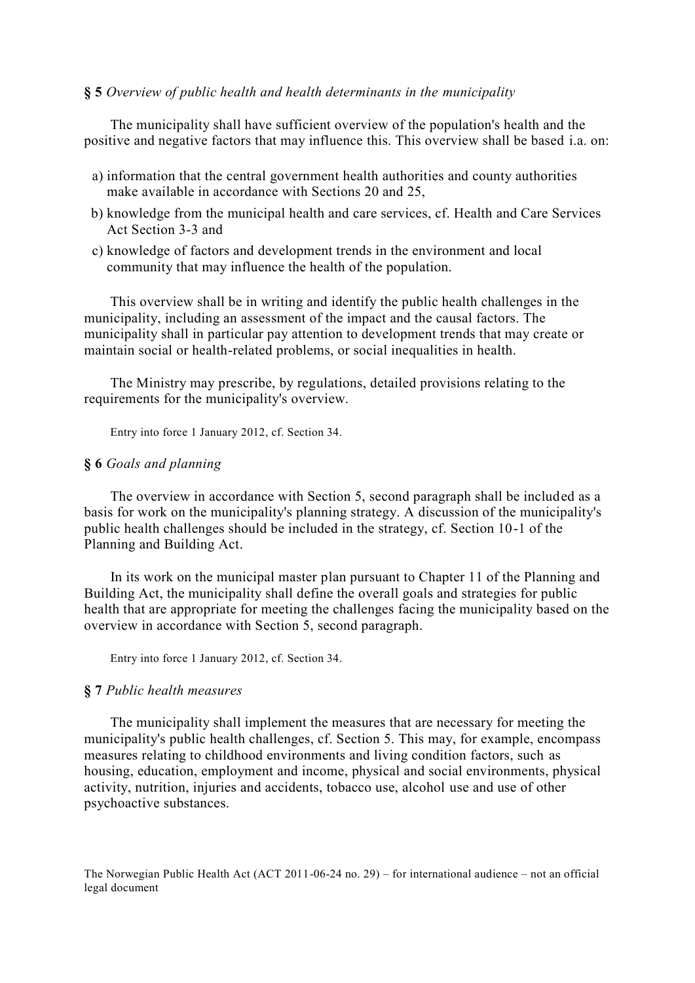#### **§ 5** *Overview of public health and health determinants in the municipality*

 The municipality shall have sufficient overview of the population's health and the positive and negative factors that may influence this. This overview shall be based i.a. on:

- a) information that the central government health authorities and county authorities make available in accordance with Sections 20 and 25,
- b) knowledge from the municipal health and care services, cf. Health and Care Services Act Section 3-3 and
- c) knowledge of factors and development trends in the environment and local community that may influence the health of the population.

 This overview shall be in writing and identify the public health challenges in the municipality, including an assessment of the impact and the causal factors. The municipality shall in particular pay attention to development trends that may create or maintain social or health-related problems, or social inequalities in health.

 The Ministry may prescribe, by regulations, detailed provisions relating to the requirements for the municipality's overview.

Entry into force 1 January 2012, cf. Section 34.

# **§ 6** *Goals and planning*

 The overview in accordance with Section 5, second paragraph shall be included as a basis for work on the municipality's planning strategy. A discussion of the municipality's public health challenges should be included in the strategy, cf. Section 10-1 of the Planning and Building Act.

 In its work on the municipal master plan pursuant to Chapter 11 of the Planning and Building Act, the municipality shall define the overall goals and strategies for public health that are appropriate for meeting the challenges facing the municipality based on the overview in accordance with Section 5, second paragraph.

Entry into force 1 January 2012, cf. Section 34.

## **§ 7** *Public health measures*

 The municipality shall implement the measures that are necessary for meeting the municipality's public health challenges, cf. Section 5. This may, for example, encompass measures relating to childhood environments and living condition factors, such as housing, education, employment and income, physical and social environments, physical activity, nutrition, injuries and accidents, tobacco use, alcohol use and use of other psychoactive substances.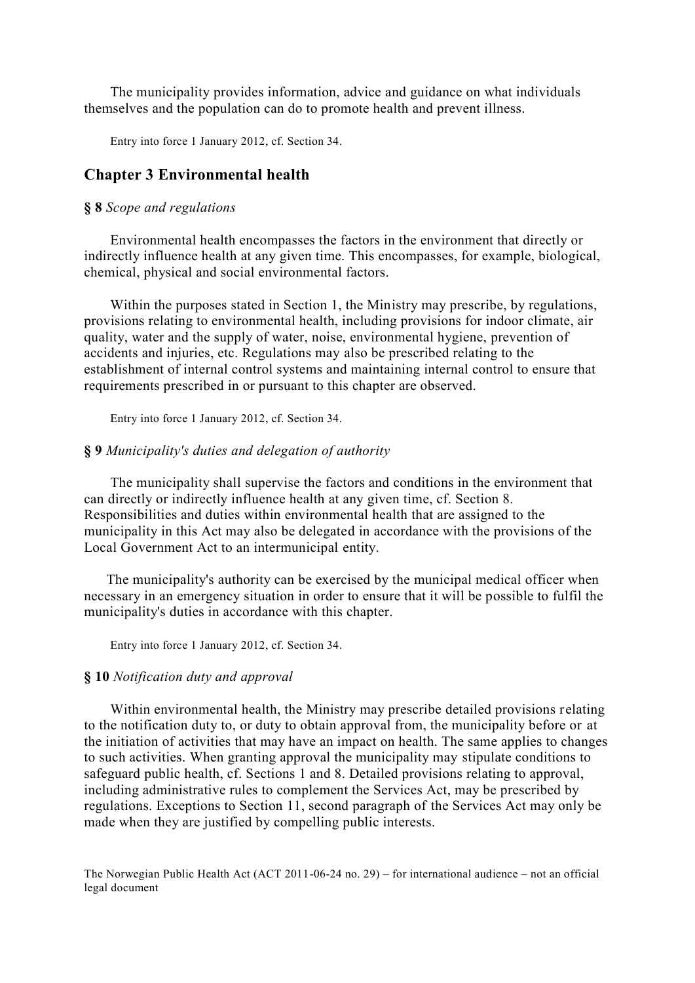The municipality provides information, advice and guidance on what individuals themselves and the population can do to promote health and prevent illness.

Entry into force 1 January 2012, cf. Section 34.

# **Chapter 3 Environmental health**

#### **§ 8** *Scope and regulations*

 Environmental health encompasses the factors in the environment that directly or indirectly influence health at any given time. This encompasses, for example, biological, chemical, physical and social environmental factors.

 Within the purposes stated in Section 1, the Ministry may prescribe, by regulations, provisions relating to environmental health, including provisions for indoor climate, air quality, water and the supply of water, noise, environmental hygiene, prevention of accidents and injuries, etc. Regulations may also be prescribed relating to the establishment of internal control systems and maintaining internal control to ensure that requirements prescribed in or pursuant to this chapter are observed.

Entry into force 1 January 2012, cf. Section 34.

### **§ 9** *Municipality's duties and delegation of authority*

 The municipality shall supervise the factors and conditions in the environment that can directly or indirectly influence health at any given time, cf. Section 8. Responsibilities and duties within environmental health that are assigned to the municipality in this Act may also be delegated in accordance with the provisions of the Local Government Act to an intermunicipal entity.

 The municipality's authority can be exercised by the municipal medical officer when necessary in an emergency situation in order to ensure that it will be possible to fulfil the municipality's duties in accordance with this chapter.

Entry into force 1 January 2012, cf. Section 34.

#### **§ 10** *Notification duty and approval*

 Within environmental health, the Ministry may prescribe detailed provisions relating to the notification duty to, or duty to obtain approval from, the municipality before or at the initiation of activities that may have an impact on health. The same applies to changes to such activities. When granting approval the municipality may stipulate conditions to safeguard public health, cf. Sections 1 and 8. Detailed provisions relating to approval, including administrative rules to complement the Services Act, may be prescribed by regulations. Exceptions to Section 11, second paragraph of the Services Act may only be made when they are justified by compelling public interests.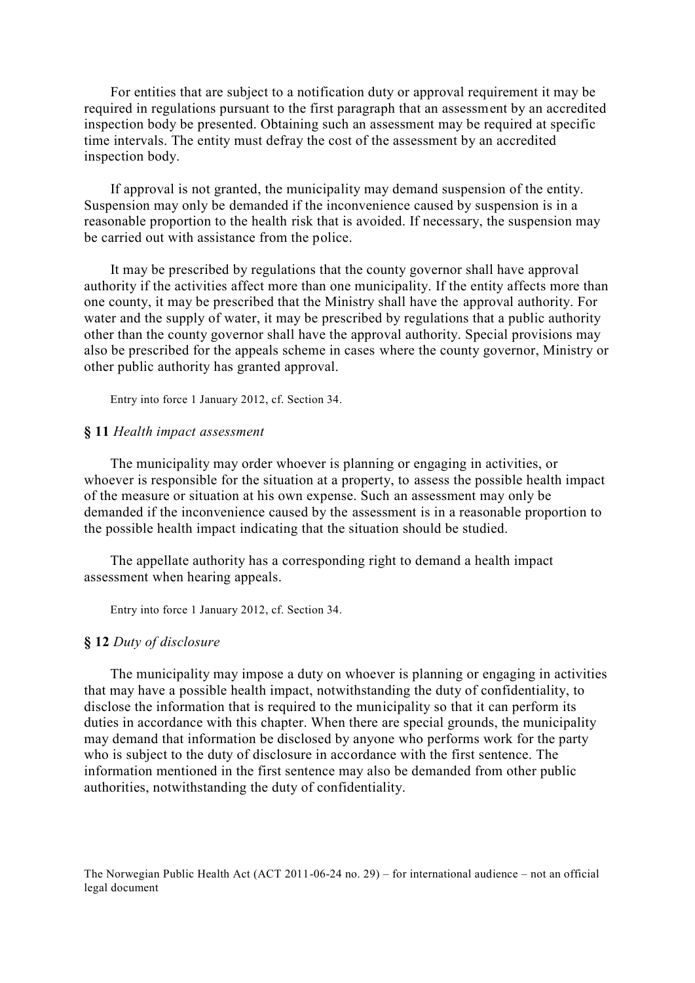For entities that are subject to a notification duty or approval requirement it may be required in regulations pursuant to the first paragraph that an assessment by an accredited inspection body be presented. Obtaining such an assessment may be required at specific time intervals. The entity must defray the cost of the assessment by an accredited inspection body.

 If approval is not granted, the municipality may demand suspension of the entity. Suspension may only be demanded if the inconvenience caused by suspension is in a reasonable proportion to the health risk that is avoided. If necessary, the suspension may be carried out with assistance from the police.

 It may be prescribed by regulations that the county governor shall have approval authority if the activities affect more than one municipality. If the entity affects more than one county, it may be prescribed that the Ministry shall have the approval authority. For water and the supply of water, it may be prescribed by regulations that a public authority other than the county governor shall have the approval authority. Special provisions may also be prescribed for the appeals scheme in cases where the county governor, Ministry or other public authority has granted approval.

Entry into force 1 January 2012, cf. Section 34.

# **§ 11** *Health impact assessment*

 The municipality may order whoever is planning or engaging in activities, or whoever is responsible for the situation at a property, to assess the possible health impact of the measure or situation at his own expense. Such an assessment may only be demanded if the inconvenience caused by the assessment is in a reasonable proportion to the possible health impact indicating that the situation should be studied.

 The appellate authority has a corresponding right to demand a health impact assessment when hearing appeals.

Entry into force 1 January 2012, cf. Section 34.

#### **§ 12** *Duty of disclosure*

 The municipality may impose a duty on whoever is planning or engaging in activities that may have a possible health impact, notwithstanding the duty of confidentiality, to disclose the information that is required to the municipality so that it can perform its duties in accordance with this chapter. When there are special grounds, the municipality may demand that information be disclosed by anyone who performs work for the party who is subject to the duty of disclosure in accordance with the first sentence. The information mentioned in the first sentence may also be demanded from other public authorities, notwithstanding the duty of confidentiality.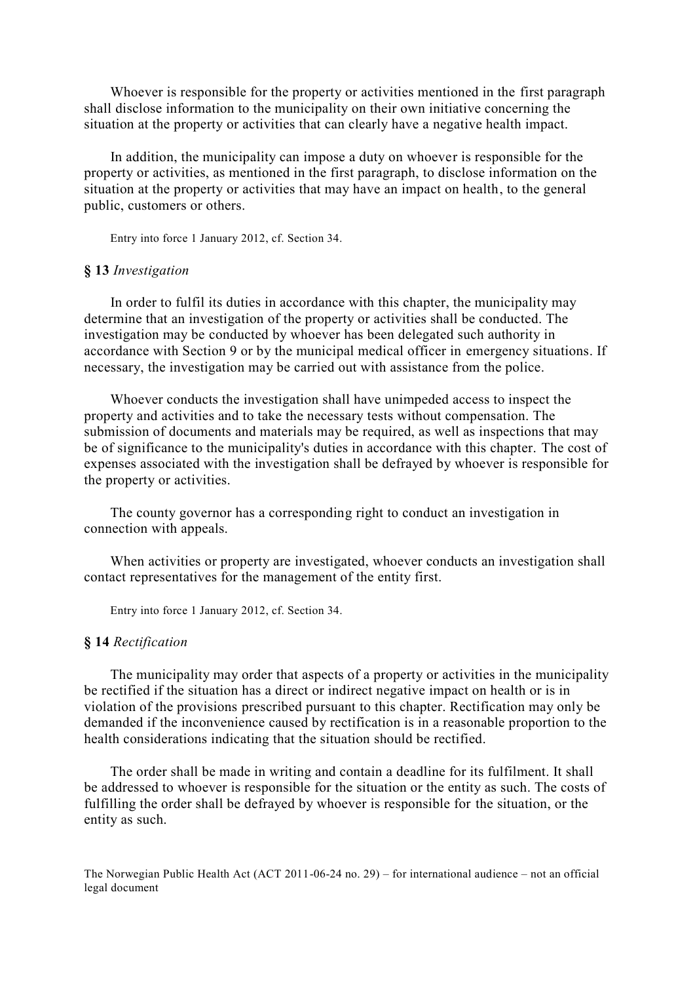Whoever is responsible for the property or activities mentioned in the first paragraph shall disclose information to the municipality on their own initiative concerning the situation at the property or activities that can clearly have a negative health impact.

 In addition, the municipality can impose a duty on whoever is responsible for the property or activities, as mentioned in the first paragraph, to disclose information on the situation at the property or activities that may have an impact on health, to the general public, customers or others.

Entry into force 1 January 2012, cf. Section 34.

## **§ 13** *Investigation*

 In order to fulfil its duties in accordance with this chapter, the municipality may determine that an investigation of the property or activities shall be conducted. The investigation may be conducted by whoever has been delegated such authority in accordance with Section 9 or by the municipal medical officer in emergency situations. If necessary, the investigation may be carried out with assistance from the police.

 Whoever conducts the investigation shall have unimpeded access to inspect the property and activities and to take the necessary tests without compensation. The submission of documents and materials may be required, as well as inspections that may be of significance to the municipality's duties in accordance with this chapter. The cost of expenses associated with the investigation shall be defrayed by whoever is responsible for the property or activities.

 The county governor has a corresponding right to conduct an investigation in connection with appeals.

 When activities or property are investigated, whoever conducts an investigation shall contact representatives for the management of the entity first.

Entry into force 1 January 2012, cf. Section 34.

#### **§ 14** *Rectification*

 The municipality may order that aspects of a property or activities in the municipality be rectified if the situation has a direct or indirect negative impact on health or is in violation of the provisions prescribed pursuant to this chapter. Rectification may only be demanded if the inconvenience caused by rectification is in a reasonable proportion to the health considerations indicating that the situation should be rectified.

 The order shall be made in writing and contain a deadline for its fulfilment. It shall be addressed to whoever is responsible for the situation or the entity as such. The costs of fulfilling the order shall be defrayed by whoever is responsible for the situation, or the entity as such.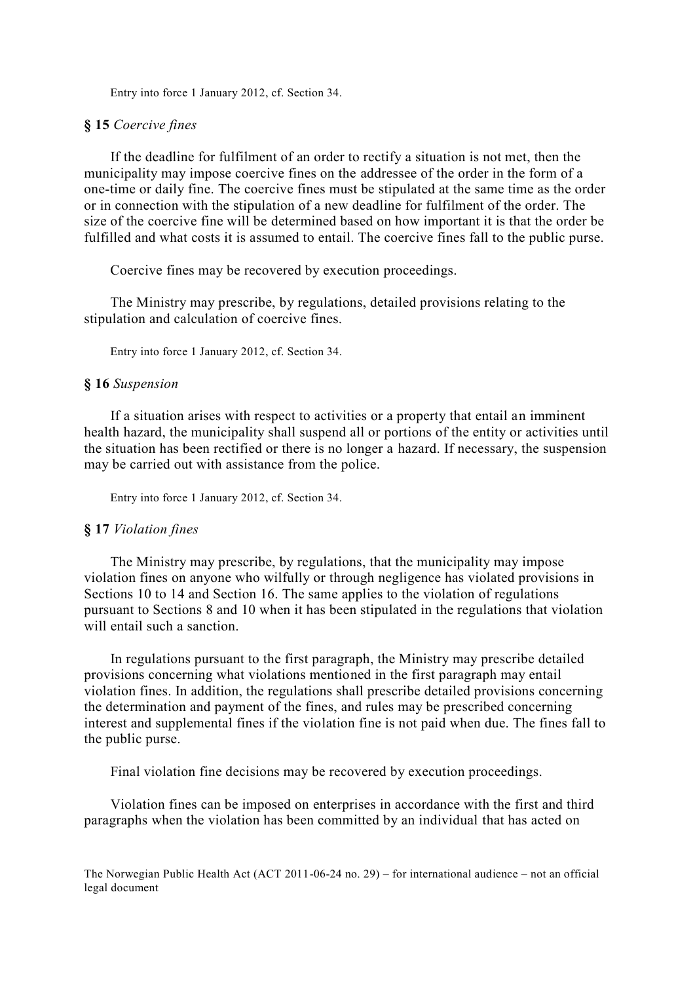Entry into force 1 January 2012, cf. Section 34.

### **§ 15** *Coercive fines*

 If the deadline for fulfilment of an order to rectify a situation is not met, then the municipality may impose coercive fines on the addressee of the order in the form of a one-time or daily fine. The coercive fines must be stipulated at the same time as the order or in connection with the stipulation of a new deadline for fulfilment of the order. The size of the coercive fine will be determined based on how important it is that the order be fulfilled and what costs it is assumed to entail. The coercive fines fall to the public purse.

Coercive fines may be recovered by execution proceedings.

 The Ministry may prescribe, by regulations, detailed provisions relating to the stipulation and calculation of coercive fines.

Entry into force 1 January 2012, cf. Section 34.

#### **§ 16** *Suspension*

 If a situation arises with respect to activities or a property that entail an imminent health hazard, the municipality shall suspend all or portions of the entity or activities until the situation has been rectified or there is no longer a hazard. If necessary, the suspension may be carried out with assistance from the police.

Entry into force 1 January 2012, cf. Section 34.

# **§ 17** *Violation fines*

 The Ministry may prescribe, by regulations, that the municipality may impose violation fines on anyone who wilfully or through negligence has violated provisions in Sections 10 to 14 and Section 16. The same applies to the violation of regulations pursuant to Sections 8 and 10 when it has been stipulated in the regulations that violation will entail such a sanction.

 In regulations pursuant to the first paragraph, the Ministry may prescribe detailed provisions concerning what violations mentioned in the first paragraph may entail violation fines. In addition, the regulations shall prescribe detailed provisions concerning the determination and payment of the fines, and rules may be prescribed concerning interest and supplemental fines if the violation fine is not paid when due. The fines fall to the public purse.

Final violation fine decisions may be recovered by execution proceedings.

 Violation fines can be imposed on enterprises in accordance with the first and third paragraphs when the violation has been committed by an individual that has acted on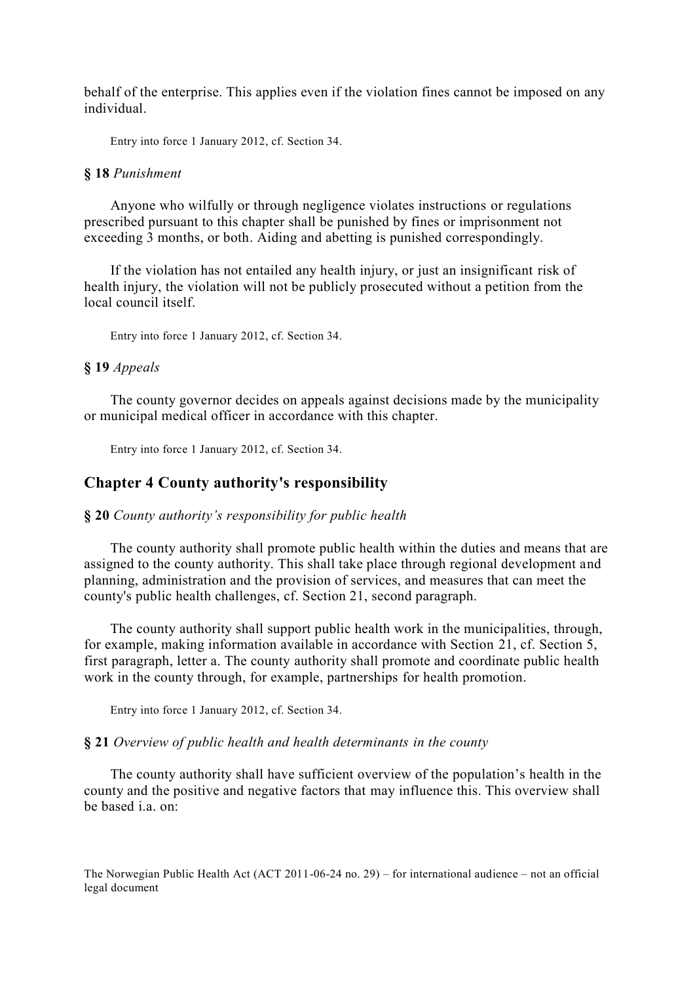behalf of the enterprise. This applies even if the violation fines cannot be imposed on any individual.

Entry into force 1 January 2012, cf. Section 34.

#### **§ 18** *Punishment*

 Anyone who wilfully or through negligence violates instructions or regulations prescribed pursuant to this chapter shall be punished by fines or imprisonment not exceeding 3 months, or both. Aiding and abetting is punished correspondingly.

 If the violation has not entailed any health injury, or just an insignificant risk of health injury, the violation will not be publicly prosecuted without a petition from the local council itself.

Entry into force 1 January 2012, cf. Section 34.

# **§ 19** *Appeals*

 The county governor decides on appeals against decisions made by the municipality or municipal medical officer in accordance with this chapter.

Entry into force 1 January 2012, cf. Section 34.

# **Chapter 4 County authority's responsibility**

#### **§ 20** *County authority's responsibility for public health*

 The county authority shall promote public health within the duties and means that are assigned to the county authority. This shall take place through regional development and planning, administration and the provision of services, and measures that can meet the county's public health challenges, cf. Section 21, second paragraph.

 The county authority shall support public health work in the municipalities, through, for example, making information available in accordance with Section 21, cf. Section 5, first paragraph, letter a. The county authority shall promote and coordinate public health work in the county through, for example, partnerships for health promotion.

Entry into force 1 January 2012, cf. Section 34.

#### **§ 21** *Overview of public health and health determinants in the county*

 The county authority shall have sufficient overview of the population's health in the county and the positive and negative factors that may influence this. This overview shall be based i.a. on: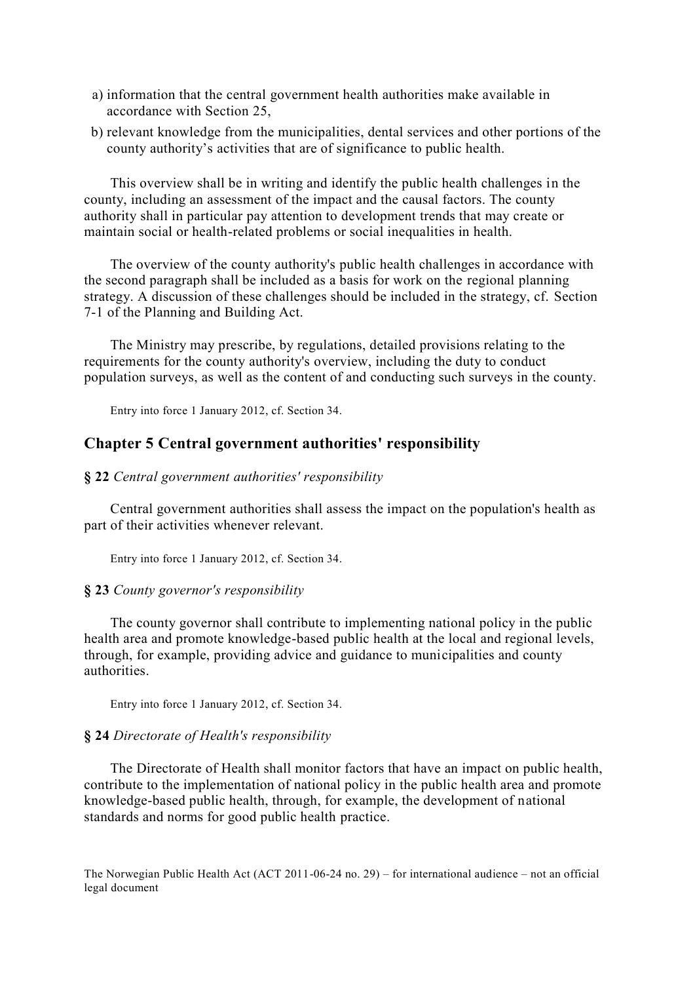- a) information that the central government health authorities make available in accordance with Section 25,
- b) relevant knowledge from the municipalities, dental services and other portions of the county authority's activities that are of significance to public health.

 This overview shall be in writing and identify the public health challenges in the county, including an assessment of the impact and the causal factors. The county authority shall in particular pay attention to development trends that may create or maintain social or health-related problems or social inequalities in health.

 The overview of the county authority's public health challenges in accordance with the second paragraph shall be included as a basis for work on the regional planning strategy. A discussion of these challenges should be included in the strategy, cf. Section 7-1 of the Planning and Building Act.

 The Ministry may prescribe, by regulations, detailed provisions relating to the requirements for the county authority's overview, including the duty to conduct population surveys, as well as the content of and conducting such surveys in the county.

Entry into force 1 January 2012, cf. Section 34.

# **Chapter 5 Central government authorities' responsibility**

#### **§ 22** *Central government authorities' responsibility*

 Central government authorities shall assess the impact on the population's health as part of their activities whenever relevant.

Entry into force 1 January 2012, cf. Section 34.

#### **§ 23** *County governor's responsibility*

 The county governor shall contribute to implementing national policy in the public health area and promote knowledge-based public health at the local and regional levels, through, for example, providing advice and guidance to municipalities and county authorities.

Entry into force 1 January 2012, cf. Section 34.

# **§ 24** *Directorate of Health's responsibility*

 The Directorate of Health shall monitor factors that have an impact on public health, contribute to the implementation of national policy in the public health area and promote knowledge-based public health, through, for example, the development of national standards and norms for good public health practice.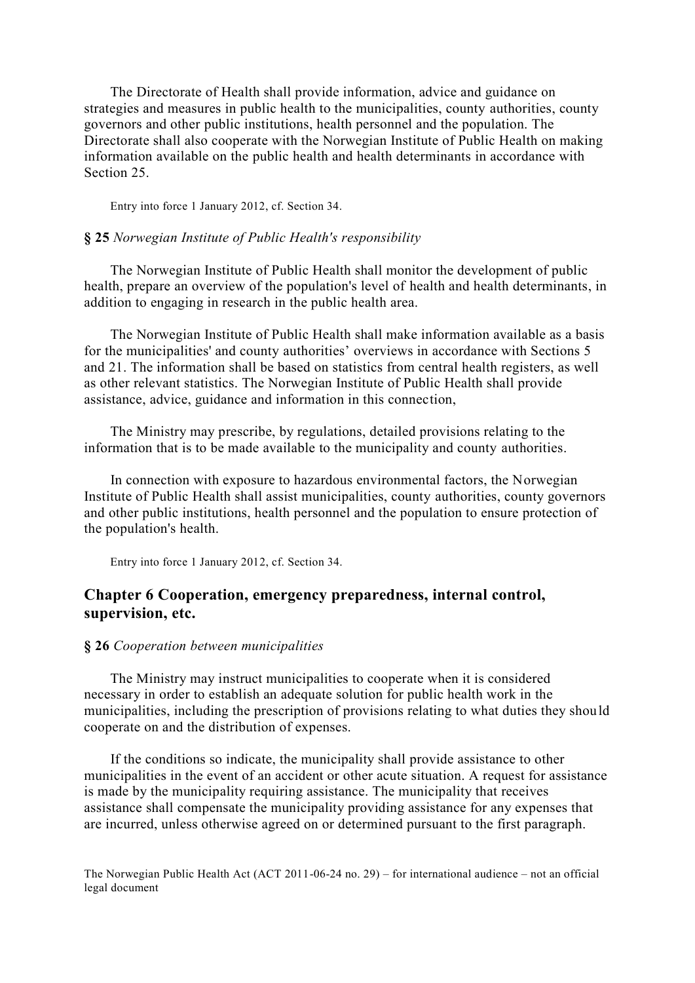The Directorate of Health shall provide information, advice and guidance on strategies and measures in public health to the municipalities, county authorities, county governors and other public institutions, health personnel and the population. The Directorate shall also cooperate with the Norwegian Institute of Public Health on making information available on the public health and health determinants in accordance with Section 25.

Entry into force 1 January 2012, cf. Section 34.

## **§ 25** *Norwegian Institute of Public Health's responsibility*

 The Norwegian Institute of Public Health shall monitor the development of public health, prepare an overview of the population's level of health and health determinants, in addition to engaging in research in the public health area.

 The Norwegian Institute of Public Health shall make information available as a basis for the municipalities' and county authorities' overviews in accordance with Sections 5 and 21. The information shall be based on statistics from central health registers, as well as other relevant statistics. The Norwegian Institute of Public Health shall provide assistance, advice, guidance and information in this connection,

 The Ministry may prescribe, by regulations, detailed provisions relating to the information that is to be made available to the municipality and county authorities.

 In connection with exposure to hazardous environmental factors, the Norwegian Institute of Public Health shall assist municipalities, county authorities, county governors and other public institutions, health personnel and the population to ensure protection of the population's health.

Entry into force 1 January 2012, cf. Section 34.

# **Chapter 6 Cooperation, emergency preparedness, internal control, supervision, etc.**

## **§ 26** *Cooperation between municipalities*

 The Ministry may instruct municipalities to cooperate when it is considered necessary in order to establish an adequate solution for public health work in the municipalities, including the prescription of provisions relating to what duties they should cooperate on and the distribution of expenses.

 If the conditions so indicate, the municipality shall provide assistance to other municipalities in the event of an accident or other acute situation. A request for assistance is made by the municipality requiring assistance. The municipality that receives assistance shall compensate the municipality providing assistance for any expenses that are incurred, unless otherwise agreed on or determined pursuant to the first paragraph.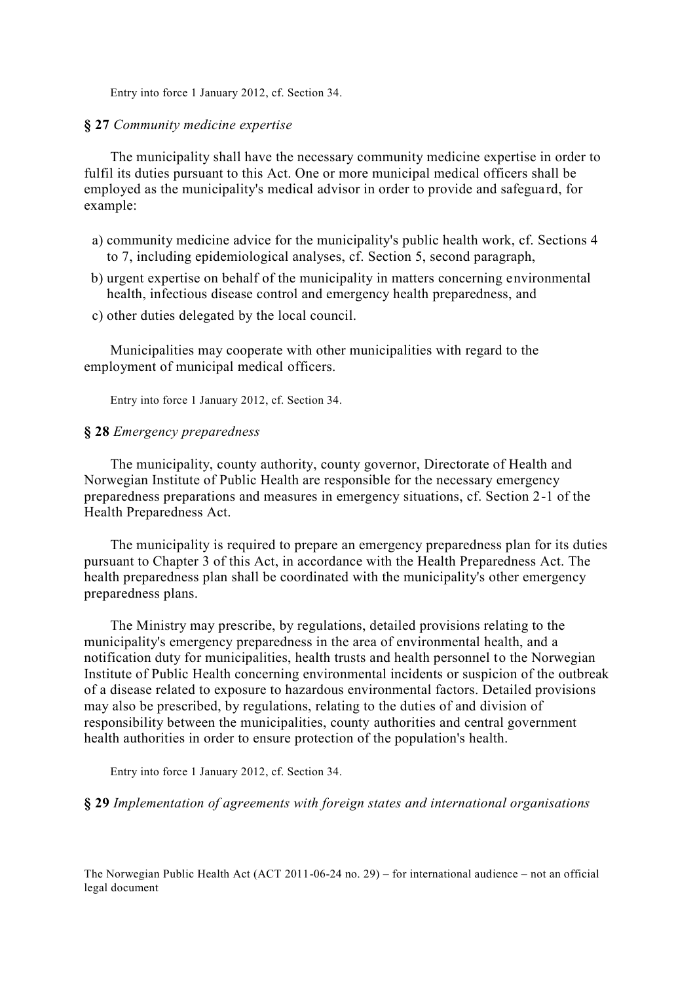Entry into force 1 January 2012, cf. Section 34.

### **§ 27** *Community medicine expertise*

 The municipality shall have the necessary community medicine expertise in order to fulfil its duties pursuant to this Act. One or more municipal medical officers shall be employed as the municipality's medical advisor in order to provide and safeguard, for example:

- a) community medicine advice for the municipality's public health work, cf. Sections 4 to 7, including epidemiological analyses, cf. Section 5, second paragraph,
- b) urgent expertise on behalf of the municipality in matters concerning environmental health, infectious disease control and emergency health preparedness, and
- c) other duties delegated by the local council.

 Municipalities may cooperate with other municipalities with regard to the employment of municipal medical officers.

Entry into force 1 January 2012, cf. Section 34.

# **§ 28** *Emergency preparedness*

 The municipality, county authority, county governor, Directorate of Health and Norwegian Institute of Public Health are responsible for the necessary emergency preparedness preparations and measures in emergency situations, cf. Section 2-1 of the Health Preparedness Act.

 The municipality is required to prepare an emergency preparedness plan for its duties pursuant to Chapter 3 of this Act, in accordance with the Health Preparedness Act. The health preparedness plan shall be coordinated with the municipality's other emergency preparedness plans.

 The Ministry may prescribe, by regulations, detailed provisions relating to the municipality's emergency preparedness in the area of environmental health, and a notification duty for municipalities, health trusts and health personnel to the Norwegian Institute of Public Health concerning environmental incidents or suspicion of the outbreak of a disease related to exposure to hazardous environmental factors. Detailed provisions may also be prescribed, by regulations, relating to the duties of and division of responsibility between the municipalities, county authorities and central government health authorities in order to ensure protection of the population's health.

Entry into force 1 January 2012, cf. Section 34.

**§ 29** *Implementation of agreements with foreign states and international organisations*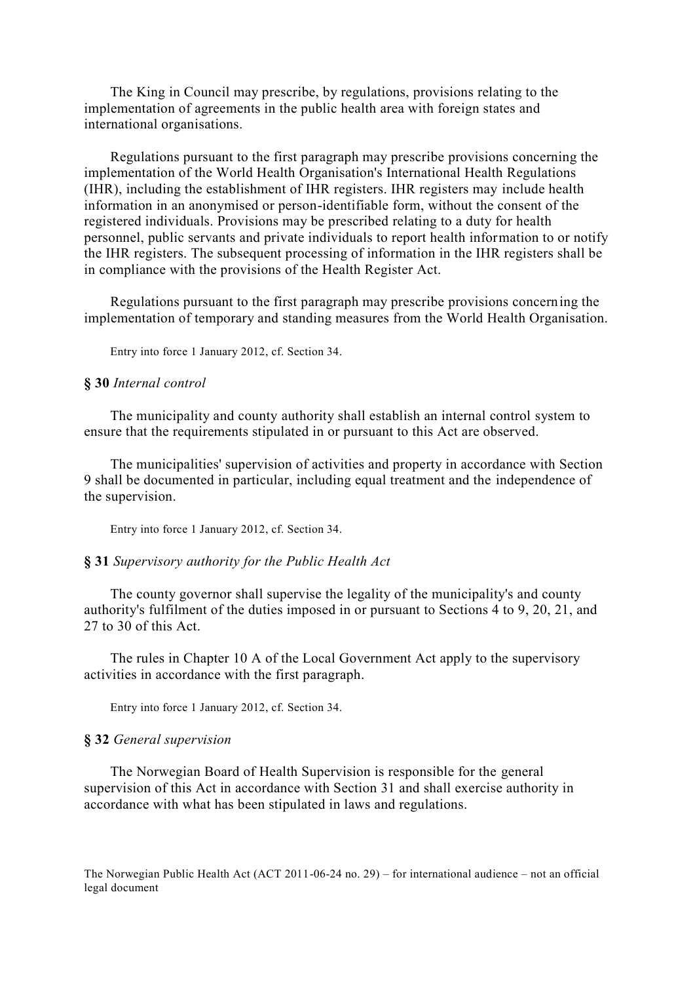The King in Council may prescribe, by regulations, provisions relating to the implementation of agreements in the public health area with foreign states and international organisations.

 Regulations pursuant to the first paragraph may prescribe provisions concerning the implementation of the World Health Organisation's International Health Regulations (IHR), including the establishment of IHR registers. IHR registers may include health information in an anonymised or person-identifiable form, without the consent of the registered individuals. Provisions may be prescribed relating to a duty for health personnel, public servants and private individuals to report health information to or notify the IHR registers. The subsequent processing of information in the IHR registers shall be in compliance with the provisions of the Health Register Act.

 Regulations pursuant to the first paragraph may prescribe provisions concerning the implementation of temporary and standing measures from the World Health Organisation.

Entry into force 1 January 2012, cf. Section 34.

## **§ 30** *Internal control*

 The municipality and county authority shall establish an internal control system to ensure that the requirements stipulated in or pursuant to this Act are observed.

 The municipalities' supervision of activities and property in accordance with Section 9 shall be documented in particular, including equal treatment and the independence of the supervision.

Entry into force 1 January 2012, cf. Section 34.

#### **§ 31** *Supervisory authority for the Public Health Act*

 The county governor shall supervise the legality of the municipality's and county authority's fulfilment of the duties imposed in or pursuant to Sections 4 to 9, 20, 21, and 27 to 30 of this Act.

 The rules in Chapter 10 A of the Local Government Act apply to the supervisory activities in accordance with the first paragraph.

Entry into force 1 January 2012, cf. Section 34.

## **§ 32** *General supervision*

 The Norwegian Board of Health Supervision is responsible for the general supervision of this Act in accordance with Section 31 and shall exercise authority in accordance with what has been stipulated in laws and regulations.